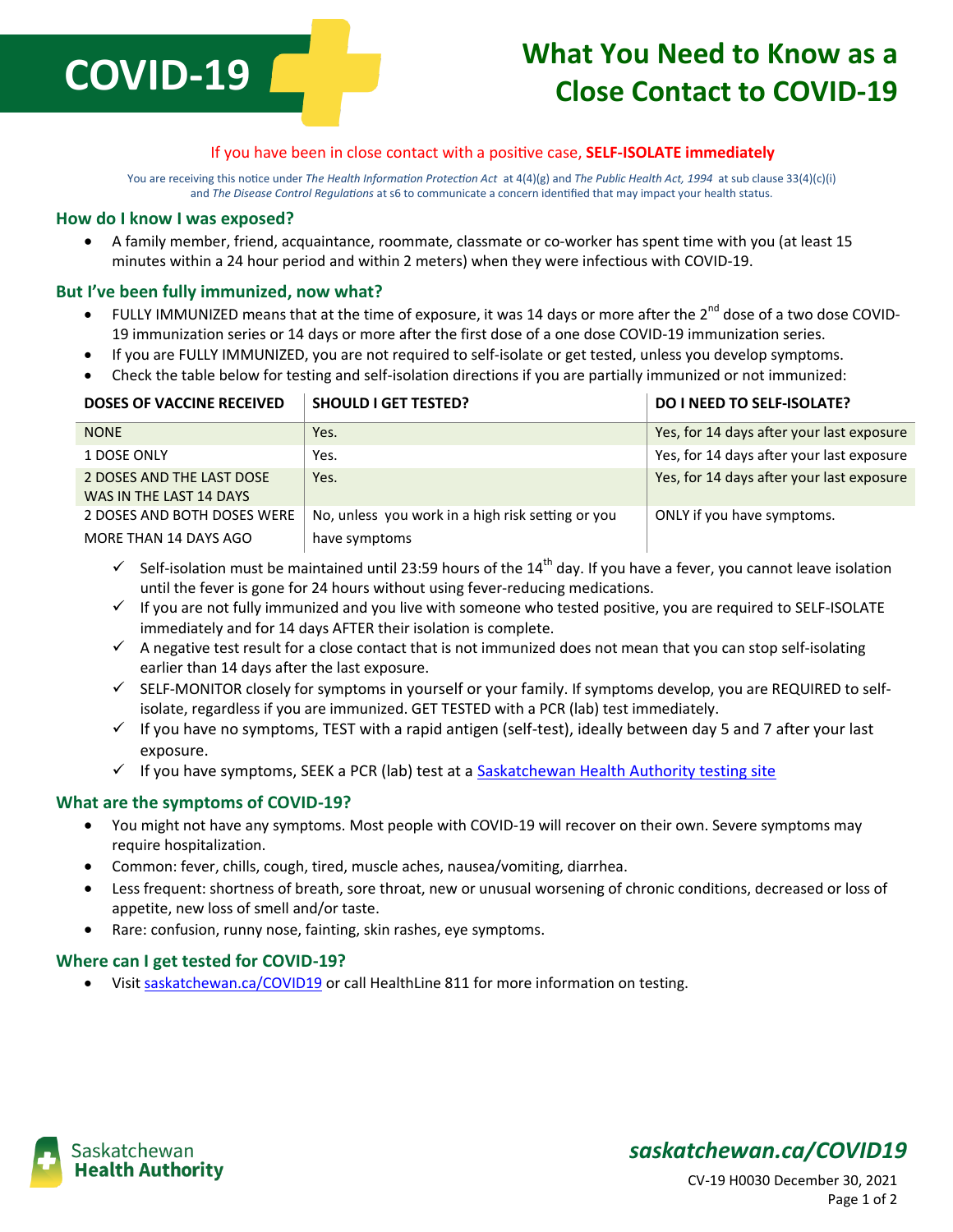# **COVID-19**

# **What You Need to Know as a Close Contact to COVID-19**

### If you have been in close contact with a positive case, **SELF-ISOLATE immediately**

You are receiving this notice under *The Health Information Protection Act* at 4(4)(g) and *The Public Health Act, 1994* at sub clause 33(4)(c)(i) and *The Disease Control Regulations* at s6 to communicate a concern identified that may impact your health status.

#### **How do I know I was exposed?**

 A family member, friend, acquaintance, roommate, classmate or co-worker has spent time with you (at least 15 minutes within a 24 hour period and within 2 meters) when they were infectious with COVID-19.

### **But I've been fully immunized, now what?**

- FULLY IMMUNIZED means that at the time of exposure, it was 14 days or more after the 2<sup>nd</sup> dose of a two dose COVID-19 immunization series or 14 days or more after the first dose of a one dose COVID-19 immunization series.
- If you are FULLY IMMUNIZED, you are not required to self-isolate or get tested, unless you develop symptoms.
- Check the table below for testing and self-isolation directions if you are partially immunized or not immunized:

| <b>DOSES OF VACCINE RECEIVED</b> | <b>SHOULD I GET TESTED?</b>                       | <b>DO I NEED TO SELF-ISOLATE?</b>         |
|----------------------------------|---------------------------------------------------|-------------------------------------------|
| <b>NONE</b>                      | Yes.                                              | Yes, for 14 days after your last exposure |
| 1 DOSE ONLY                      | Yes.                                              | Yes, for 14 days after your last exposure |
| 2 DOSES AND THE LAST DOSE        | Yes.                                              | Yes, for 14 days after your last exposure |
| WAS IN THE LAST 14 DAYS          |                                                   |                                           |
| 2 DOSES AND BOTH DOSES WERE      | No, unless you work in a high risk setting or you | ONLY if you have symptoms.                |
| MORE THAN 14 DAYS AGO            | have symptoms                                     |                                           |

- $\checkmark$  Self-isolation must be maintained until 23:59 hours of the 14<sup>th</sup> day. If you have a fever, you cannot leave isolation until the fever is gone for 24 hours without using fever-reducing medications.
- $\checkmark$  If you are not fully immunized and you live with someone who tested positive, you are required to SELF-ISOLATE immediately and for 14 days AFTER their isolation is complete.
- $\checkmark$  A negative test result for a close contact that is not immunized does not mean that you can stop self-isolating earlier than 14 days after the last exposure.
- $\checkmark$  SELF-MONITOR closely for symptoms in yourself or your family. If symptoms develop, you are REQUIRED to selfisolate, regardless if you are immunized. GET TESTED with a PCR (lab) test immediately.
- $\checkmark$  If you have no symptoms, TEST with a rapid antigen (self-test), ideally between day 5 and 7 after your last exposure.
- $\checkmark$  If you have symptoms, SEEK a PCR (lab) test at [a Saskatchewan Health Authority testing site](https://www.saskhealthauthority.ca/your-health/conditions-diseases-services/all-z/covid-19-saskatchewan/covid-19-drive-thru-and-walk-testing)

### **What are the symptoms of COVID-19?**

- You might not have any symptoms. Most people with COVID-19 will recover on their own. Severe symptoms may require hospitalization.
- Common: fever, chills, cough, tired, muscle aches, nausea/vomiting, diarrhea.
- Less frequent: shortness of breath, sore throat, new or unusual worsening of chronic conditions, decreased or loss of appetite, new loss of smell and/or taste.
- Rare: confusion, runny nose, fainting, skin rashes, eye symptoms.

### **Where can I get tested for COVID-19?**

Visit [saskatchewan.ca/COVID19](http://www.saskatchewan.ca/COVID19) or call HealthLine 811 for more information on testing.



### *saskatchewan.ca/COVID19*

CV-19 H0030 December 30, 2021 Page 1 of 2